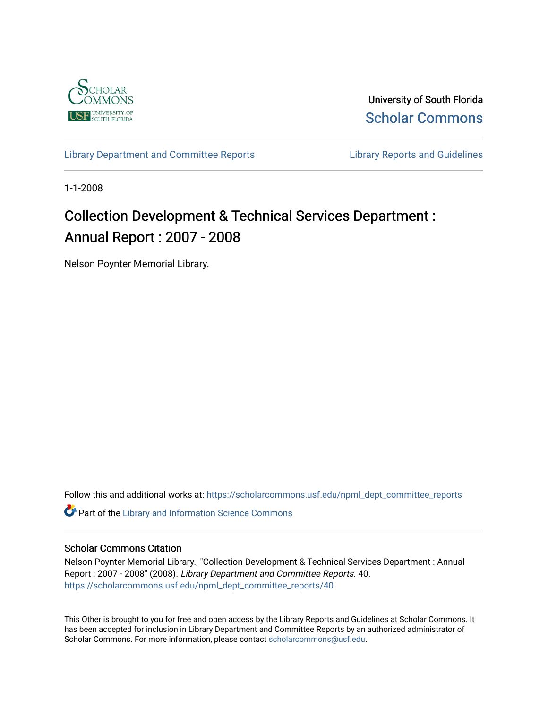

University of South Florida [Scholar Commons](https://scholarcommons.usf.edu/) 

[Library Department and Committee Reports](https://scholarcommons.usf.edu/npml_dept_committee_reports) **Library Reports and Guidelines** 

1-1-2008

# Collection Development & Technical Services Department : Annual Report : 2007 - 2008

Nelson Poynter Memorial Library.

Follow this and additional works at: [https://scholarcommons.usf.edu/npml\\_dept\\_committee\\_reports](https://scholarcommons.usf.edu/npml_dept_committee_reports?utm_source=scholarcommons.usf.edu%2Fnpml_dept_committee_reports%2F40&utm_medium=PDF&utm_campaign=PDFCoverPages)

**C** Part of the Library and Information Science Commons

#### Scholar Commons Citation

Nelson Poynter Memorial Library., "Collection Development & Technical Services Department : Annual Report : 2007 - 2008" (2008). Library Department and Committee Reports. 40. [https://scholarcommons.usf.edu/npml\\_dept\\_committee\\_reports/40](https://scholarcommons.usf.edu/npml_dept_committee_reports/40?utm_source=scholarcommons.usf.edu%2Fnpml_dept_committee_reports%2F40&utm_medium=PDF&utm_campaign=PDFCoverPages) 

This Other is brought to you for free and open access by the Library Reports and Guidelines at Scholar Commons. It has been accepted for inclusion in Library Department and Committee Reports by an authorized administrator of Scholar Commons. For more information, please contact [scholarcommons@usf.edu](mailto:scholarcommons@usf.edu).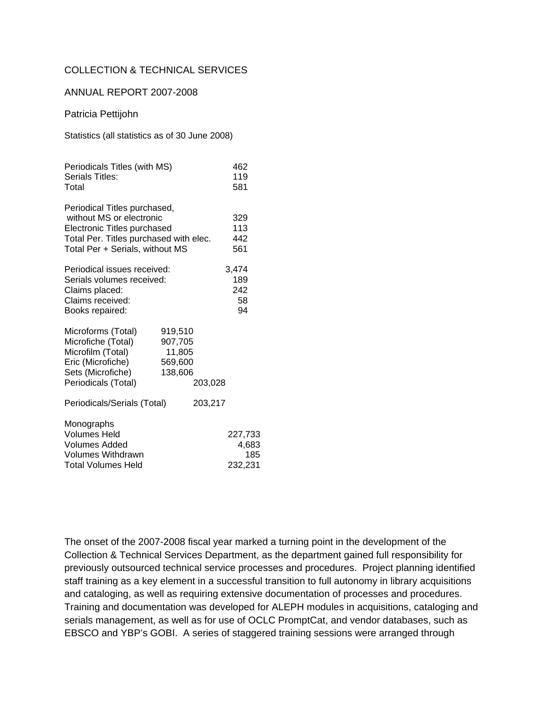#### COLLECTION & TECHNICAL SERVICES

#### ANNUAL REPORT 2007-2008

Patricia Pettijohn

Statistics (all statistics as of 30 June 2008)

| Periodicals Titles (with MS)<br>Serials Titles:<br>Total                                                                                                             |                                                    |         | 462<br>119<br>581                  |
|----------------------------------------------------------------------------------------------------------------------------------------------------------------------|----------------------------------------------------|---------|------------------------------------|
| Periodical Titles purchased,<br>without MS or electronic<br>Electronic Titles purchased<br>Total Per. Titles purchased with elec.<br>Total Per + Serials, without MS |                                                    |         | 329<br>113<br>442<br>561           |
| Periodical issues received:<br>Serials volumes received:<br>Claims placed:<br>Claims received:<br>Books repaired:                                                    |                                                    |         | 3,474<br>189<br>242<br>58<br>94    |
| Microforms (Total)<br>Microfiche (Total)<br>Microfilm (Total)<br>Eric (Microfiche)<br>Sets (Microfiche)<br>Periodicals (Total)                                       | 919,510<br>907,705<br>11,805<br>569,600<br>138,606 | 203,028 |                                    |
| Periodicals/Serials (Total)                                                                                                                                          |                                                    | 203,217 |                                    |
| Monographs<br><b>Volumes Held</b><br><b>Volumes Added</b><br>Volumes Withdrawn<br><b>Total Volumes Held</b>                                                          |                                                    |         | 227,733<br>4,683<br>185<br>232,231 |

The onset of the 2007-2008 fiscal year marked a turning point in the development of the Collection & Technical Services Department, as the department gained full responsibility for previously outsourced technical service processes and procedures. Project planning identified staff training as a key element in a successful transition to full autonomy in library acquisitions and cataloging, as well as requiring extensive documentation of processes and procedures. Training and documentation was developed for ALEPH modules in acquisitions, cataloging and serials management, as well as for use of OCLC PromptCat, and vendor databases, such as EBSCO and YBP's GOBI. A series of staggered training sessions were arranged through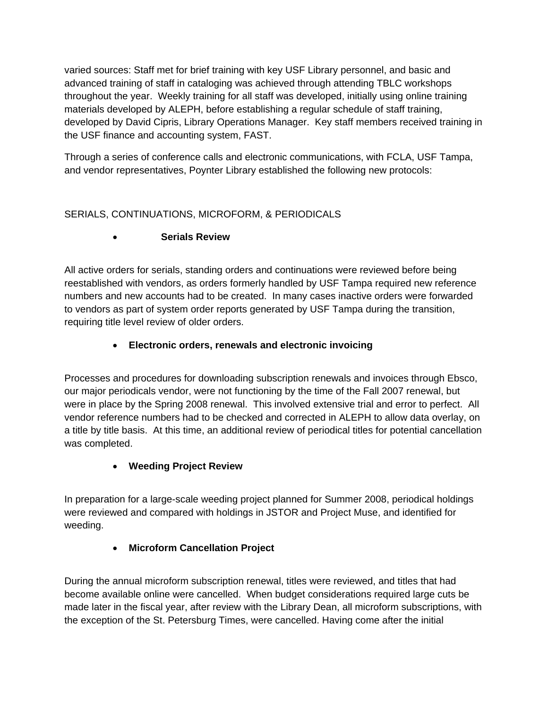varied sources: Staff met for brief training with key USF Library personnel, and basic and advanced training of staff in cataloging was achieved through attending TBLC workshops throughout the year. Weekly training for all staff was developed, initially using online training materials developed by ALEPH, before establishing a regular schedule of staff training, developed by David Cipris, Library Operations Manager. Key staff members received training in the USF finance and accounting system, FAST.

Through a series of conference calls and electronic communications, with FCLA, USF Tampa, and vendor representatives, Poynter Library established the following new protocols:

# SERIALS, CONTINUATIONS, MICROFORM, & PERIODICALS

# **Serials Review**

All active orders for serials, standing orders and continuations were reviewed before being reestablished with vendors, as orders formerly handled by USF Tampa required new reference numbers and new accounts had to be created. In many cases inactive orders were forwarded to vendors as part of system order reports generated by USF Tampa during the transition, requiring title level review of older orders.

# **Electronic orders, renewals and electronic invoicing**

Processes and procedures for downloading subscription renewals and invoices through Ebsco, our major periodicals vendor, were not functioning by the time of the Fall 2007 renewal, but were in place by the Spring 2008 renewal. This involved extensive trial and error to perfect. All vendor reference numbers had to be checked and corrected in ALEPH to allow data overlay, on a title by title basis. At this time, an additional review of periodical titles for potential cancellation was completed.

## **Weeding Project Review**

In preparation for a large-scale weeding project planned for Summer 2008, periodical holdings were reviewed and compared with holdings in JSTOR and Project Muse, and identified for weeding.

## **Microform Cancellation Project**

During the annual microform subscription renewal, titles were reviewed, and titles that had become available online were cancelled. When budget considerations required large cuts be made later in the fiscal year, after review with the Library Dean, all microform subscriptions, with the exception of the St. Petersburg Times, were cancelled. Having come after the initial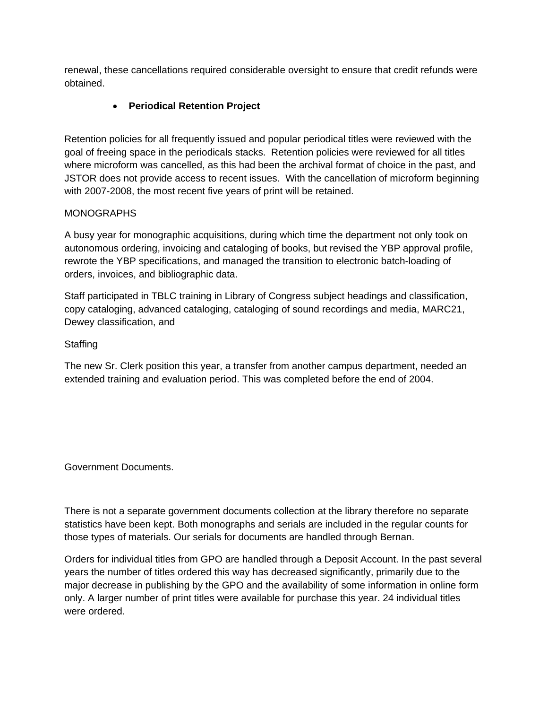renewal, these cancellations required considerable oversight to ensure that credit refunds were obtained.

#### **Periodical Retention Project**

Retention policies for all frequently issued and popular periodical titles were reviewed with the goal of freeing space in the periodicals stacks. Retention policies were reviewed for all titles where microform was cancelled, as this had been the archival format of choice in the past, and JSTOR does not provide access to recent issues. With the cancellation of microform beginning with 2007-2008, the most recent five years of print will be retained.

#### MONOGRAPHS

A busy year for monographic acquisitions, during which time the department not only took on autonomous ordering, invoicing and cataloging of books, but revised the YBP approval profile, rewrote the YBP specifications, and managed the transition to electronic batch-loading of orders, invoices, and bibliographic data.

Staff participated in TBLC training in Library of Congress subject headings and classification, copy cataloging, advanced cataloging, cataloging of sound recordings and media, MARC21, Dewey classification, and

#### **Staffing**

The new Sr. Clerk position this year, a transfer from another campus department, needed an extended training and evaluation period. This was completed before the end of 2004.

Government Documents.

There is not a separate government documents collection at the library therefore no separate statistics have been kept. Both monographs and serials are included in the regular counts for those types of materials. Our serials for documents are handled through Bernan.

Orders for individual titles from GPO are handled through a Deposit Account. In the past several years the number of titles ordered this way has decreased significantly, primarily due to the major decrease in publishing by the GPO and the availability of some information in online form only. A larger number of print titles were available for purchase this year. 24 individual titles were ordered.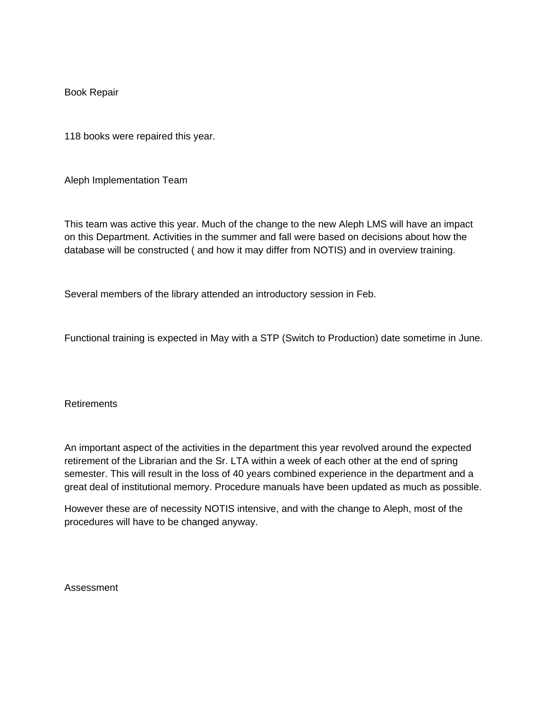Book Repair

118 books were repaired this year.

Aleph Implementation Team

This team was active this year. Much of the change to the new Aleph LMS will have an impact on this Department. Activities in the summer and fall were based on decisions about how the database will be constructed ( and how it may differ from NOTIS) and in overview training.

Several members of the library attended an introductory session in Feb.

Functional training is expected in May with a STP (Switch to Production) date sometime in June.

**Retirements** 

An important aspect of the activities in the department this year revolved around the expected retirement of the Librarian and the Sr. LTA within a week of each other at the end of spring semester. This will result in the loss of 40 years combined experience in the department and a great deal of institutional memory. Procedure manuals have been updated as much as possible.

However these are of necessity NOTIS intensive, and with the change to Aleph, most of the procedures will have to be changed anyway.

Assessment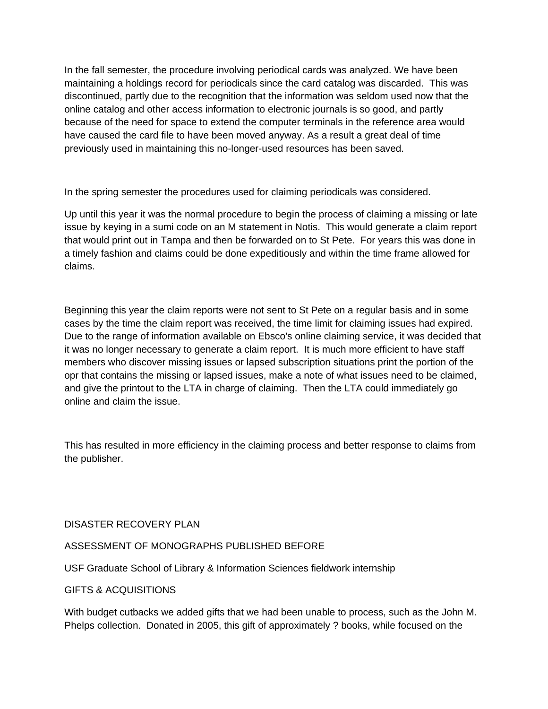In the fall semester, the procedure involving periodical cards was analyzed. We have been maintaining a holdings record for periodicals since the card catalog was discarded. This was discontinued, partly due to the recognition that the information was seldom used now that the online catalog and other access information to electronic journals is so good, and partly because of the need for space to extend the computer terminals in the reference area would have caused the card file to have been moved anyway. As a result a great deal of time previously used in maintaining this no-longer-used resources has been saved.

In the spring semester the procedures used for claiming periodicals was considered.

Up until this year it was the normal procedure to begin the process of claiming a missing or late issue by keying in a sumi code on an M statement in Notis. This would generate a claim report that would print out in Tampa and then be forwarded on to St Pete. For years this was done in a timely fashion and claims could be done expeditiously and within the time frame allowed for claims.

Beginning this year the claim reports were not sent to St Pete on a regular basis and in some cases by the time the claim report was received, the time limit for claiming issues had expired. Due to the range of information available on Ebsco's online claiming service, it was decided that it was no longer necessary to generate a claim report. It is much more efficient to have staff members who discover missing issues or lapsed subscription situations print the portion of the opr that contains the missing or lapsed issues, make a note of what issues need to be claimed, and give the printout to the LTA in charge of claiming. Then the LTA could immediately go online and claim the issue.

This has resulted in more efficiency in the claiming process and better response to claims from the publisher.

#### DISASTER RECOVERY PLAN

#### ASSESSMENT OF MONOGRAPHS PUBLISHED BEFORE

USF Graduate School of Library & Information Sciences fieldwork internship

#### GIFTS & ACQUISITIONS

With budget cutbacks we added gifts that we had been unable to process, such as the John M. Phelps collection. Donated in 2005, this gift of approximately ? books, while focused on the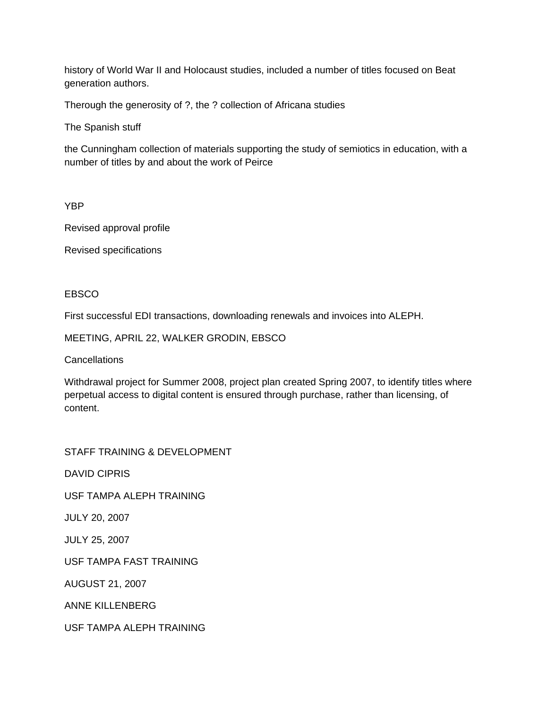history of World War II and Holocaust studies, included a number of titles focused on Beat generation authors.

Therough the generosity of ?, the ? collection of Africana studies

The Spanish stuff

the Cunningham collection of materials supporting the study of semiotics in education, with a number of titles by and about the work of Peirce

YBP

Revised approval profile

Revised specifications

#### EBSCO

First successful EDI transactions, downloading renewals and invoices into ALEPH.

MEETING, APRIL 22, WALKER GRODIN, EBSCO

Cancellations

Withdrawal project for Summer 2008, project plan created Spring 2007, to identify titles where perpetual access to digital content is ensured through purchase, rather than licensing, of content.

STAFF TRAINING & DEVELOPMENT

DAVID CIPRIS

USF TAMPA ALEPH TRAINING

JULY 20, 2007

JULY 25, 2007

USF TAMPA FAST TRAINING

AUGUST 21, 2007

ANNE KILLENBERG

USF TAMPA ALEPH TRAINING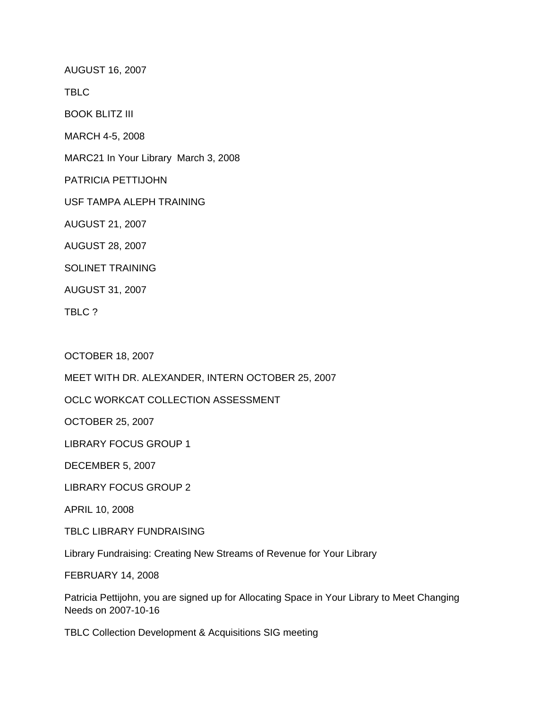AUGUST 16, 2007

TBLC

BOOK BLITZ III

MARCH 4-5, 2008

MARC21 In Your Library March 3, 2008

PATRICIA PETTIJOHN

USF TAMPA ALEPH TRAINING

AUGUST 21, 2007

AUGUST 28, 2007

SOLINET TRAINING

AUGUST 31, 2007

TBLC ?

OCTOBER 18, 2007

MEET WITH DR. ALEXANDER, INTERN OCTOBER 25, 2007

OCLC WORKCAT COLLECTION ASSESSMENT

OCTOBER 25, 2007

LIBRARY FOCUS GROUP 1

DECEMBER 5, 2007

LIBRARY FOCUS GROUP 2

APRIL 10, 2008

TBLC LIBRARY FUNDRAISING

Library Fundraising: Creating New Streams of Revenue for Your Library

FEBRUARY 14, 2008

Patricia Pettijohn, you are signed up for Allocating Space in Your Library to Meet Changing Needs on 2007-10-16

TBLC Collection Development & Acquisitions SIG meeting